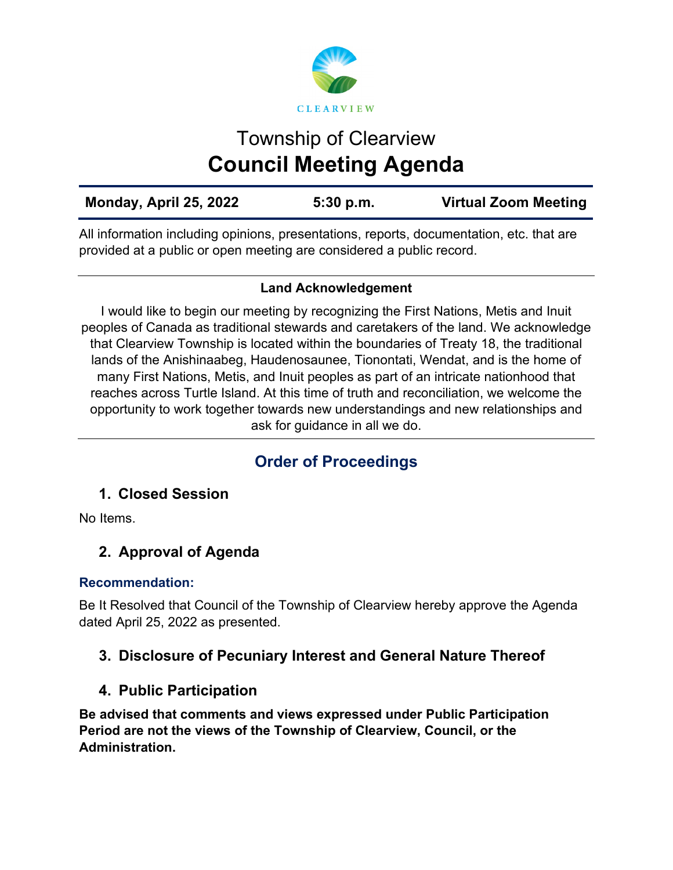

# Township of Clearview **Council Meeting Agenda**

| Monday, April 25, 2022 | 5:30 p.m. | <b>Virtual Zoom Meeting</b> |
|------------------------|-----------|-----------------------------|
|                        |           |                             |

All information including opinions, presentations, reports, documentation, etc. that are provided at a public or open meeting are considered a public record.

### **Land Acknowledgement**

I would like to begin our meeting by recognizing the First Nations, Metis and Inuit peoples of Canada as traditional stewards and caretakers of the land. We acknowledge that Clearview Township is located within the boundaries of Treaty 18, the traditional lands of the Anishinaabeg, Haudenosaunee, Tionontati, Wendat, and is the home of many First Nations, Metis, and Inuit peoples as part of an intricate nationhood that reaches across Turtle Island. At this time of truth and reconciliation, we welcome the opportunity to work together towards new understandings and new relationships and ask for guidance in all we do.

# **Order of Proceedings**

### **1. Closed Session**

No Items.

### **2. Approval of Agenda**

### **Recommendation:**

Be It Resolved that Council of the Township of Clearview hereby approve the Agenda dated April 25, 2022 as presented.

### **3. Disclosure of Pecuniary Interest and General Nature Thereof**

### **4. Public Participation**

**Be advised that comments and views expressed under Public Participation Period are not the views of the Township of Clearview, Council, or the Administration.**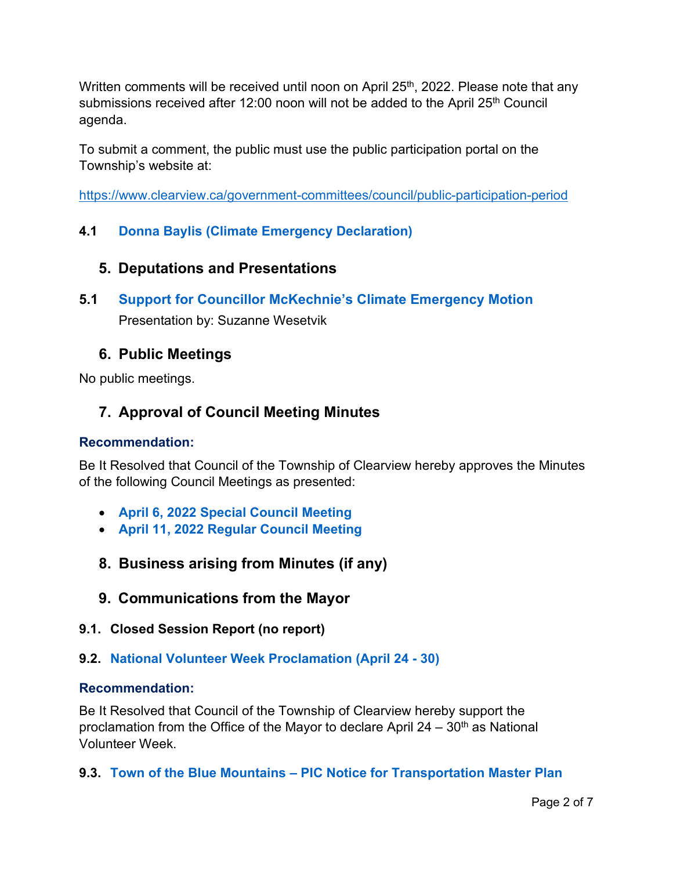Written comments will be received until noon on April 25<sup>th</sup>, 2022. Please note that any submissions received after 12:00 noon will not be added to the April 25<sup>th</sup> Council agenda.

To submit a comment, the public must use the public participation portal on the Township's website at:

<https://www.clearview.ca/government-committees/council/public-participation-period>

### **4.1 [Donna Baylis \(Climate Emergency Declaration\)](https://www.clearview.ca/sites/default/files/uploads/publications/4.1_donna_baylis_climate_emergency_declaration.pdf)**

### **5. Deputations and Presentations**

**5.1 [Support for Councillor McKechnie's Climate Emergency Motion](https://www.clearview.ca/sites/default/files/uploads/publications/5.1_clearview_township_climate_emergency_motion.pdf)** Presentation by: Suzanne Wesetvik

### **6. Public Meetings**

No public meetings.

### **7. Approval of Council Meeting Minutes**

### **Recommendation:**

Be It Resolved that Council of the Township of Clearview hereby approves the Minutes of the following Council Meetings as presented:

- **[April 6, 2022 Special Council Meeting](https://www.clearview.ca/sites/default/files/uploads/publications/2022-04-06_special_council_meeting_minutes.pdf)**
- **[April 11, 2022 Regular Council Meeting](https://www.clearview.ca/sites/default/files/uploads/publications/2022-04-11_council_meeting_minutes.pdf)**
- **8. Business arising from Minutes (if any)**
- **9. Communications from the Mayor**
- **9.1. Closed Session Report (no report)**
- **9.2. [National Volunteer Week Proclamation \(April 24 30\)](https://www.clearview.ca/sites/default/files/uploads/publications/9.2_national_volunteer_week_proclamation_april_24-30.pdf)**

### **Recommendation:**

Be It Resolved that Council of the Township of Clearview hereby support the proclamation from the Office of the Mayor to declare April  $24 - 30<sup>th</sup>$  as National Volunteer Week.

**9.3. [Town of the Blue Mountains – PIC Notice for Transportation Master Plan](https://www.clearview.ca/sites/default/files/uploads/publications/9.3_town_of_the_blue_mountains_-_pic_notice_for_transportation_master_plan.pdf)**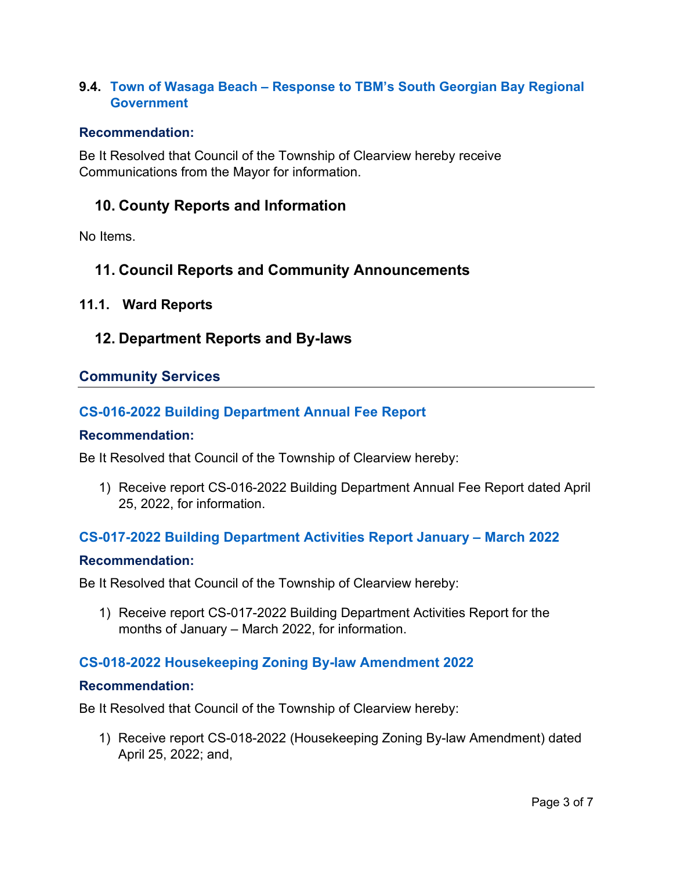### **9.4. [Town of Wasaga Beach – Response to TBM's South Georgian Bay Regional](https://www.clearview.ca/sites/default/files/uploads/publications/9.4_town_of_wasaga_beach_-_response_to_tbms_south_georgian_bay_regional_government.pdf)  [Government](https://www.clearview.ca/sites/default/files/uploads/publications/9.4_town_of_wasaga_beach_-_response_to_tbms_south_georgian_bay_regional_government.pdf)**

#### **Recommendation:**

Be It Resolved that Council of the Township of Clearview hereby receive Communications from the Mayor for information.

### **10. County Reports and Information**

No Items.

### **11. Council Reports and Community Announcements**

### **11.1. Ward Reports**

### **12. Department Reports and By-laws**

### **Community Services**

### **[CS-016-2022 Building Department Annual Fee Report](https://www.clearview.ca/sites/default/files/uploads/publications/cs-016-2022_2021_annual_building_department_fee_report.pdf)**

#### **Recommendation:**

Be It Resolved that Council of the Township of Clearview hereby:

1) Receive report CS-016-2022 Building Department Annual Fee Report dated April 25, 2022, for information.

#### **[CS-017-2022 Building Department Activities Report January – March 2022](https://www.clearview.ca/sites/default/files/uploads/publications/cs-017-2022_building_department_activities_report_january_-_march_2022.pdf)**

#### **Recommendation:**

Be It Resolved that Council of the Township of Clearview hereby:

1) Receive report CS-017-2022 Building Department Activities Report for the months of January – March 2022, for information.

### **[CS-018-2022 Housekeeping Zoning By-law Amendment 2022](https://www.clearview.ca/sites/default/files/uploads/publications/cs-018-2022_-_housekeeping_zoning_by-law_amendment_2022_2.pdf)**

#### **Recommendation:**

Be It Resolved that Council of the Township of Clearview hereby:

1) Receive report CS-018-2022 (Housekeeping Zoning By-law Amendment) dated April 25, 2022; and,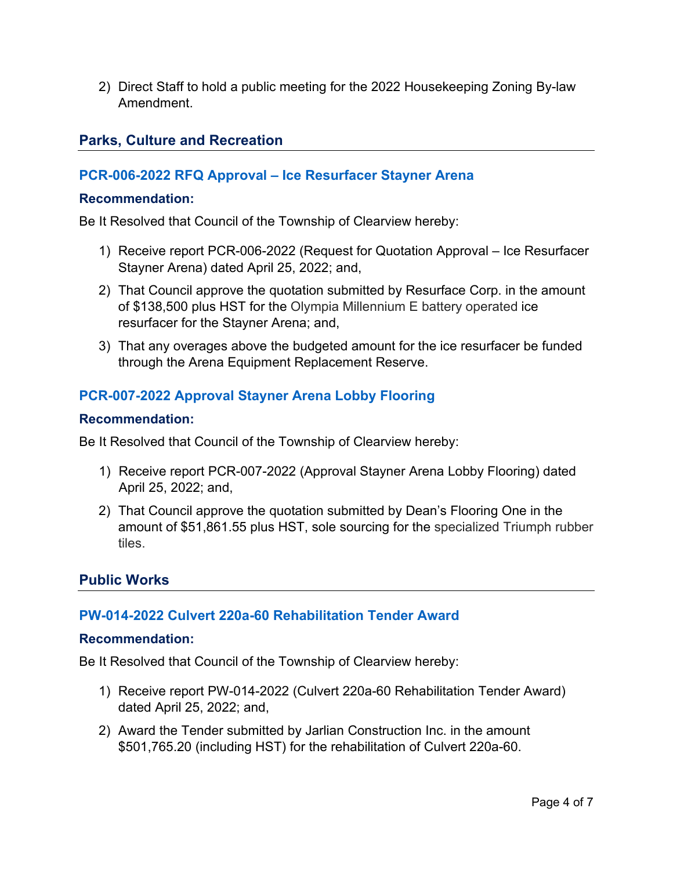2) Direct Staff to hold a public meeting for the 2022 Housekeeping Zoning By-law Amendment.

### **Parks, Culture and Recreation**

### **[PCR-006-2022 RFQ Approval – Ice Resurfacer Stayner Arena](https://www.clearview.ca/sites/default/files/uploads/publications/pcr-006-2022_rfp_approval_for_stayner_ice_resurfacer.pdf)**

### **Recommendation:**

Be It Resolved that Council of the Township of Clearview hereby:

- 1) Receive report PCR-006-2022 (Request for Quotation Approval Ice Resurfacer Stayner Arena) dated April 25, 2022; and,
- 2) That Council approve the quotation submitted by Resurface Corp. in the amount of \$138,500 plus HST for the Olympia Millennium E battery operated ice resurfacer for the Stayner Arena; and,
- 3) That any overages above the budgeted amount for the ice resurfacer be funded through the Arena Equipment Replacement Reserve.

### **[PCR-007-2022 Approval Stayner Arena Lobby Flooring](https://www.clearview.ca/sites/default/files/uploads/publications/pcr-007-2022_approval_for_stayner_arena_flooring.pdf)**

### **Recommendation:**

Be It Resolved that Council of the Township of Clearview hereby:

- 1) Receive report PCR-007-2022 (Approval Stayner Arena Lobby Flooring) dated April 25, 2022; and,
- 2) That Council approve the quotation submitted by Dean's Flooring One in the amount of \$51,861.55 plus HST, sole sourcing for the specialized Triumph rubber tiles.

### **Public Works**

### **[PW-014-2022 Culvert 220a-60 Rehabilitation Tender Award](https://www.clearview.ca/sites/default/files/uploads/publications/pw-014-2022_culvert_220a-60_rehabilitation_tender_award.pdf)**

### **Recommendation:**

Be It Resolved that Council of the Township of Clearview hereby:

- 1) Receive report PW-014-2022 (Culvert 220a-60 Rehabilitation Tender Award) dated April 25, 2022; and,
- 2) Award the Tender submitted by Jarlian Construction Inc. in the amount \$501,765.20 (including HST) for the rehabilitation of Culvert 220a-60.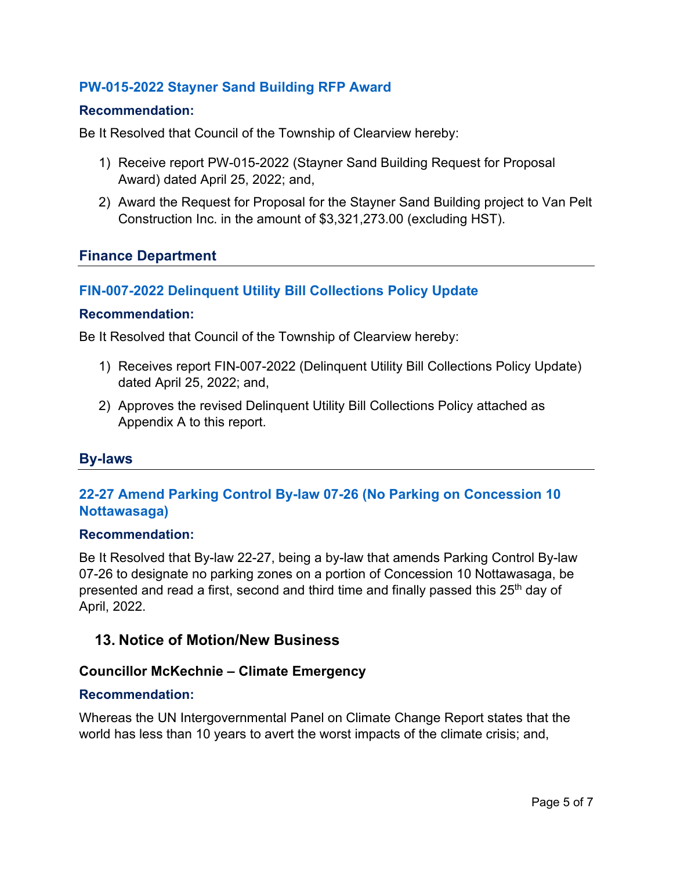### **[PW-015-2022 Stayner Sand Building RFP Award](https://www.clearview.ca/sites/default/files/uploads/publications/pw-015-2022_stayner_sand_building_rfp_award.pdf)**

#### **Recommendation:**

Be It Resolved that Council of the Township of Clearview hereby:

- 1) Receive report PW-015-2022 (Stayner Sand Building Request for Proposal Award) dated April 25, 2022; and,
- 2) Award the Request for Proposal for the Stayner Sand Building project to Van Pelt Construction Inc. in the amount of \$3,321,273.00 (excluding HST).

### **Finance Department**

#### **[FIN-007-2022 Delinquent Utility Bill Collections Policy Update](https://www.clearview.ca/sites/default/files/uploads/publications/fin-007-2022_delinquent_utility_bills_collection.pdf)**

#### **Recommendation:**

Be It Resolved that Council of the Township of Clearview hereby:

- 1) Receives report FIN-007-2022 (Delinquent Utility Bill Collections Policy Update) dated April 25, 2022; and,
- 2) Approves the revised Delinquent Utility Bill Collections Policy attached as Appendix A to this report.

### **By-laws**

### **[22-27 Amend Parking Control By-law 07-26 \(No Parking on Concession 10](https://www.clearview.ca/sites/default/files/uploads/publications/22-27_amend_parking_control_by-law_07-36_no_parking_conc_10_nott.pdf)  [Nottawasaga\)](https://www.clearview.ca/sites/default/files/uploads/publications/22-27_amend_parking_control_by-law_07-36_no_parking_conc_10_nott.pdf)**

#### **Recommendation:**

Be It Resolved that By-law 22-27, being a by-law that amends Parking Control By-law 07-26 to designate no parking zones on a portion of Concession 10 Nottawasaga, be presented and read a first, second and third time and finally passed this 25<sup>th</sup> day of April, 2022.

### **13. Notice of Motion/New Business**

#### **Councillor McKechnie – Climate Emergency**

#### **Recommendation:**

Whereas the UN Intergovernmental Panel on Climate Change Report states that the world has less than 10 years to avert the worst impacts of the climate crisis; and,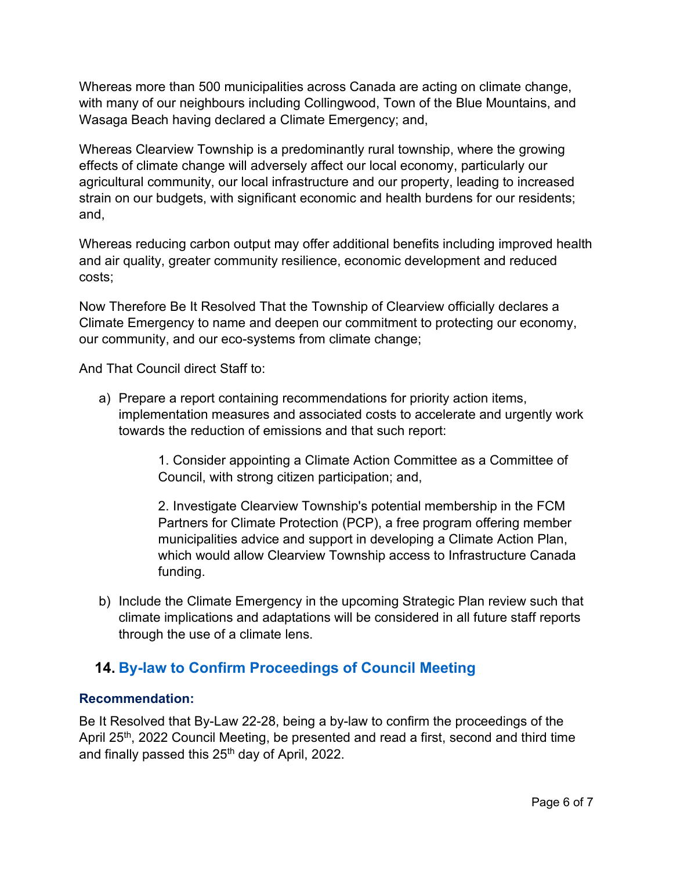Whereas more than 500 municipalities across Canada are acting on climate change, with many of our neighbours including Collingwood, Town of the Blue Mountains, and Wasaga Beach having declared a Climate Emergency; and,

Whereas Clearview Township is a predominantly rural township, where the growing effects of climate change will adversely affect our local economy, particularly our agricultural community, our local infrastructure and our property, leading to increased strain on our budgets, with significant economic and health burdens for our residents; and,

Whereas reducing carbon output may offer additional benefits including improved health and air quality, greater community resilience, economic development and reduced costs;

Now Therefore Be It Resolved That the Township of Clearview officially declares a Climate Emergency to name and deepen our commitment to protecting our economy, our community, and our eco-systems from climate change;

And That Council direct Staff to:

a) Prepare a report containing recommendations for priority action items, implementation measures and associated costs to accelerate and urgently work towards the reduction of emissions and that such report:

> 1. Consider appointing a Climate Action Committee as a Committee of Council, with strong citizen participation; and,

2. Investigate Clearview Township's potential membership in the FCM Partners for Climate Protection (PCP), a free program offering member municipalities advice and support in developing a Climate Action Plan, which would allow Clearview Township access to Infrastructure Canada funding.

b) Include the Climate Emergency in the upcoming Strategic Plan review such that climate implications and adaptations will be considered in all future staff reports through the use of a climate lens.

### **14. [By-law to Confirm Proceedings of Council Meeting](https://www.clearview.ca/sites/default/files/uploads/publications/22-28_confirm_proceedings_april_25_2022.pdf)**

### **Recommendation:**

Be It Resolved that By-Law 22-28, being a by-law to confirm the proceedings of the April 25<sup>th</sup>, 2022 Council Meeting, be presented and read a first, second and third time and finally passed this 25<sup>th</sup> day of April, 2022.